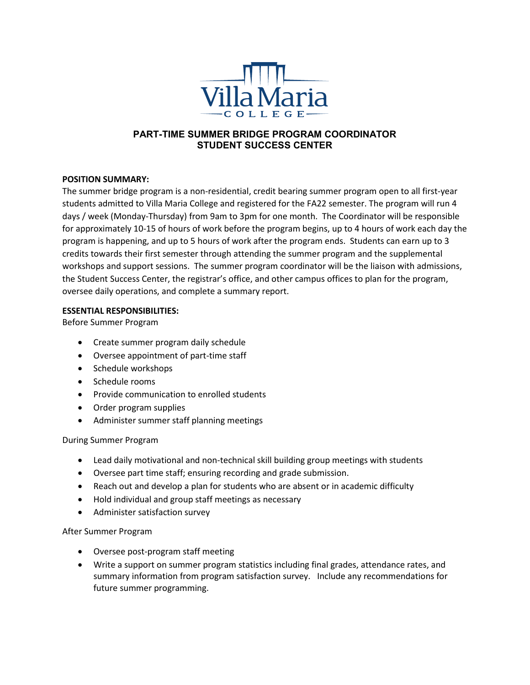

# **PART-TIME SUMMER BRIDGE PROGRAM COORDINATOR STUDENT SUCCESS CENTER**

## **POSITION SUMMARY:**

The summer bridge program is a non-residential, credit bearing summer program open to all first-year students admitted to Villa Maria College and registered for the FA22 semester. The program will run 4 days / week (Monday-Thursday) from 9am to 3pm for one month. The Coordinator will be responsible for approximately 10-15 of hours of work before the program begins, up to 4 hours of work each day the program is happening, and up to 5 hours of work after the program ends. Students can earn up to 3 credits towards their first semester through attending the summer program and the supplemental workshops and support sessions. The summer program coordinator will be the liaison with admissions, the Student Success Center, the registrar's office, and other campus offices to plan for the program, oversee daily operations, and complete a summary report.

#### **ESSENTIAL RESPONSIBILITIES:**

Before Summer Program

- Create summer program daily schedule
- Oversee appointment of part-time staff
- Schedule workshops
- Schedule rooms
- Provide communication to enrolled students
- Order program supplies
- Administer summer staff planning meetings

#### During Summer Program

- Lead daily motivational and non-technical skill building group meetings with students
- Oversee part time staff; ensuring recording and grade submission.
- Reach out and develop a plan for students who are absent or in academic difficulty
- Hold individual and group staff meetings as necessary
- Administer satisfaction survey

#### After Summer Program

- Oversee post-program staff meeting
- Write a support on summer program statistics including final grades, attendance rates, and summary information from program satisfaction survey. Include any recommendations for future summer programming.